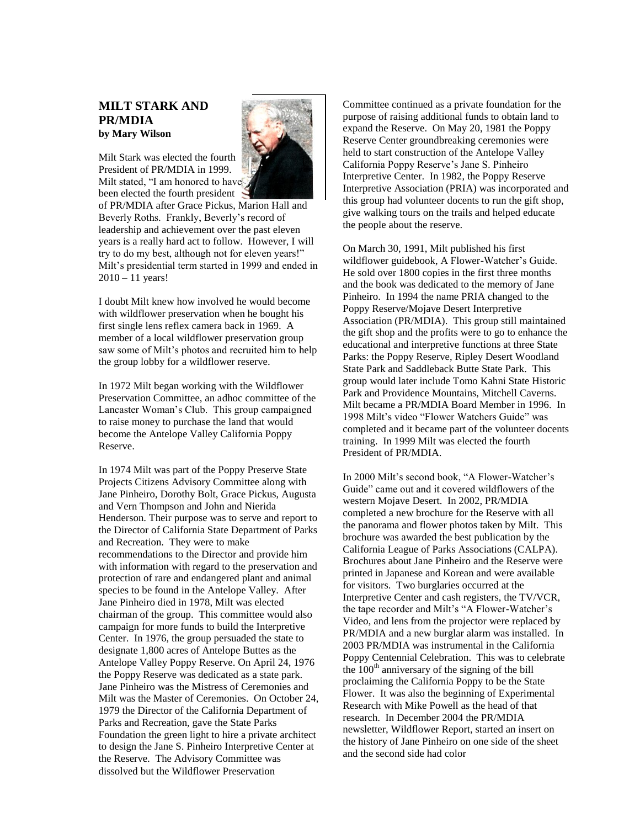## **MILT STARK AND PR/MDIA by Mary Wilson**

 $2010 - 11$  years!



Milt stated, "I am honored to have been elected the fourth president of PR/MDIA after Grace Pickus, Marion Hall and Beverly Roths. Frankly, Beverly's record of leadership and achievement over the past eleven years is a really hard act to follow. However, I will try to do my best, although not for eleven years!"

I doubt Milt knew how involved he would become with wildflower preservation when he bought his first single lens reflex camera back in 1969. A member of a local wildflower preservation group saw some of Milt's photos and recruited him to help the group lobby for a wildflower reserve.

Milt's presidential term started in 1999 and ended in

In 1972 Milt began working with the Wildflower Preservation Committee, an adhoc committee of the Lancaster Woman's Club. This group campaigned to raise money to purchase the land that would become the Antelope Valley California Poppy Reserve.

In 1974 Milt was part of the Poppy Preserve State Projects Citizens Advisory Committee along with Jane Pinheiro, Dorothy Bolt, Grace Pickus, Augusta and Vern Thompson and John and Nierida Henderson. Their purpose was to serve and report to the Director of California State Department of Parks and Recreation. They were to make recommendations to the Director and provide him with information with regard to the preservation and protection of rare and endangered plant and animal species to be found in the Antelope Valley. After Jane Pinheiro died in 1978, Milt was elected chairman of the group. This committee would also campaign for more funds to build the Interpretive Center. In 1976, the group persuaded the state to designate 1,800 acres of Antelope Buttes as the Antelope Valley Poppy Reserve. On April 24, 1976 the Poppy Reserve was dedicated as a state park. Jane Pinheiro was the Mistress of Ceremonies and Milt was the Master of Ceremonies. On October 24, 1979 the Director of the California Department of Parks and Recreation, gave the State Parks Foundation the green light to hire a private architect to design the Jane S. Pinheiro Interpretive Center at the Reserve. The Advisory Committee was dissolved but the Wildflower Preservation

Committee continued as a private foundation for the purpose of raising additional funds to obtain land to expand the Reserve. On May 20, 1981 the Poppy Reserve Center groundbreaking ceremonies were held to start construction of the Antelope Valley California Poppy Reserve's Jane S. Pinheiro Interpretive Center. In 1982, the Poppy Reserve Interpretive Association (PRIA) was incorporated and this group had volunteer docents to run the gift shop, give walking tours on the trails and helped educate the people about the reserve.

On March 30, 1991, Milt published his first wildflower guidebook, A Flower-Watcher's Guide. He sold over 1800 copies in the first three months and the book was dedicated to the memory of Jane Pinheiro. In 1994 the name PRIA changed to the Poppy Reserve/Mojave Desert Interpretive Association (PR/MDIA). This group still maintained the gift shop and the profits were to go to enhance the educational and interpretive functions at three State Parks: the Poppy Reserve, Ripley Desert Woodland State Park and Saddleback Butte State Park. This group would later include Tomo Kahni State Historic Park and Providence Mountains, Mitchell Caverns. Milt became a PR/MDIA Board Member in 1996. In 1998 Milt's video "Flower Watchers Guide" was completed and it became part of the volunteer docents training. In 1999 Milt was elected the fourth President of PR/MDIA.

In 2000 Milt's second book, "A Flower-Watcher's Guide" came out and it covered wildflowers of the western Mojave Desert. In 2002, PR/MDIA completed a new brochure for the Reserve with all the panorama and flower photos taken by Milt. This brochure was awarded the best publication by the California League of Parks Associations (CALPA). Brochures about Jane Pinheiro and the Reserve were printed in Japanese and Korean and were available for visitors. Two burglaries occurred at the Interpretive Center and cash registers, the TV/VCR, the tape recorder and Milt's "A Flower-Watcher's Video, and lens from the projector were replaced by PR/MDIA and a new burglar alarm was installed. In 2003 PR/MDIA was instrumental in the California Poppy Centennial Celebration. This was to celebrate the  $100<sup>th</sup>$  anniversary of the signing of the bill proclaiming the California Poppy to be the State Flower. It was also the beginning of Experimental Research with Mike Powell as the head of that research. In December 2004 the PR/MDIA newsletter, Wildflower Report, started an insert on the history of Jane Pinheiro on one side of the sheet and the second side had color